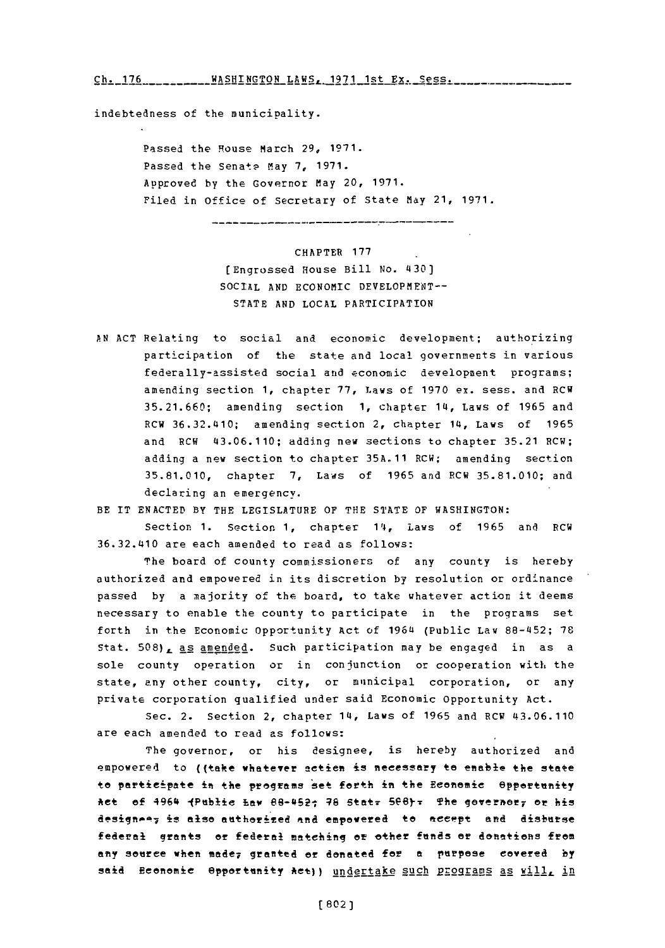C. 17 **--** WASHINGTON- LAS **-**197- s Ex **-ess-Ch. 176 WASHINGTON** LAWS, **1971** 1st **Ex.** Sess.

indebtedness of the municipality.

Passed the House March **29, 1971.** Passed the Senate May 7, 1971. Approved **by** the Governor May 20, **1971.** Filed in Office of Secretary of State May 21, **1971.**

CHAPTER **177** [Engrossed House Bill **No.** 4301 SOCIAL AND ECONOMIC DEVELOPMENT--**STATE AND LOCAL** PARTICIPATION

**AN ACT** Relating to social and economic development; authorizing participation of the state and local governments in various federally-assisted social and economic development programs; amending section **1,** chapter **77,** Laws of **1970** ex. sess. and RCW **35.21.660;** amending section **1,** chapter 14l, Laws of **1965** and RCW 36.32.410; amending section 2, chapter 14, Laws of **<sup>1965</sup>** and RCW 43.06.110; adding new sections to chapter **35.21** RCW; adding a new section to chapter **35A.11** RCW; amending section **35.81.010,** chapter **7,** Laws of **1965** and RCW **35.81.010;** and declaring an emergency.

Section 1. Section 1, chapter 14, Laws of 1965 and RCW 36.32.410 are each amended to read as follows:

The board of county commissioners **of** any county is hereby authorized and empowered in its discretion **by** resolution or ordinance passed **by** a majority of the board, to take whatever action it deems necessary to enable the county to participate in the programs set forth in the Economic Opportunity Act of 1964 (Public Law 88-452; 78 Stat. *5 0 8 ),* as amended. Such participation may be engaged in as a sole county operation or in conjunction or cooperation with the state, any other county, city, or municipal corporation, or any private corporation qualified under said Economic opportunity Act.

Sec. 2. Section 2, chapter **1Q,** Laws of **1965** and RCW 43.06.110 are each amended to read as follows:

The governor, or his designee, is hereby authorized and empowered to ((take whatever actien is necessary to enable the state to participate in the programs set forth in the Economic Spportunity \*et **of** 4964 JPeblie **~Ew** 88-4521 **48** StetT 5P6)-T The JO~erhOr <sup>7</sup>**Of** his designee<sub>7</sub> is also authorized and empowered to accept and disburse federal grants or federal matching **at** ether **ftnds or** donation~s from any souree when mede7 granted or donated for a purpose covered **by** said Beenomic Opportunity Act)) undertake such programs as will, in

BE IT **ENACTED** BY THE **LEGISLATURE OF** THE **STATE** OF **WASHINGTON:**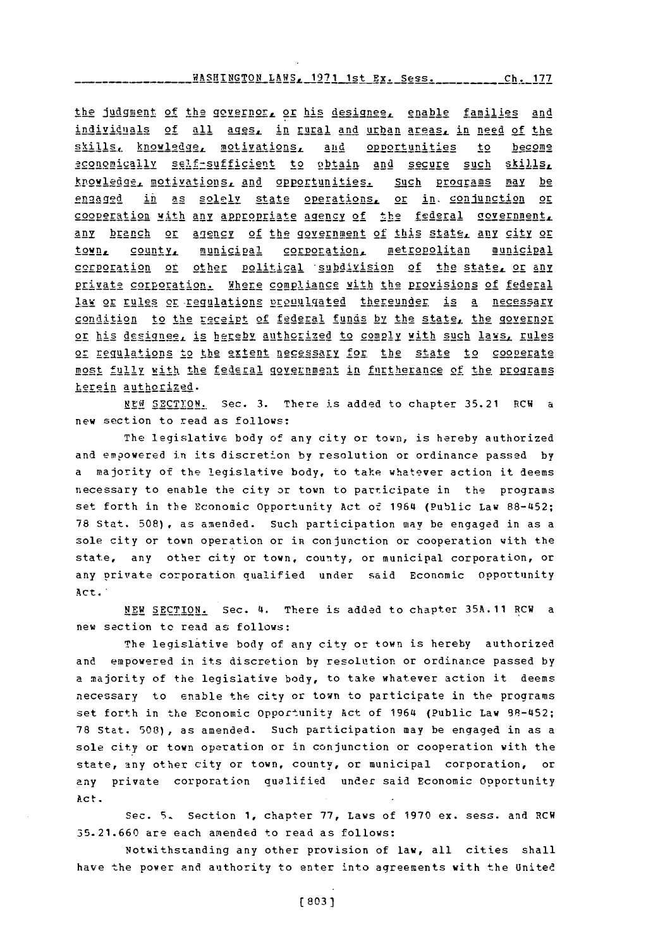## WASHN~TN LWS.19, 1s **F~ ssCh 1\*77 WASHTNGTON** LAWS **1971** lqt **Ry** Rp q Ch. 177

the **judgment** of the governors or his designee, enable families and individuals of all ages, in rural and urban areas, in need of the skills. knowledge, motivations, and opportunities to become economically self-sufficient to obtain and secure such skills, 5owled2f motivationsL and a gortunities. Such ERgg rams **may** be engaged in as solely state operations, or in conjunction or cooperation with any appropriate agency of the federal government, any branch or a2engcy **of** the government **of** this **state any city** or town, county, municipal corporation, metropolitan municipal cerporation or other political subdivision of the state, or any private corpration. Where compliance with the **provisions of federal** law or rules or regulations pronulgated thereunder is a necessary condition to the receipt of federal funds by the state, the qovernor or his designee, is hereby authorized to comply with such laws, rules or requiations to the extent necessary for the state to cooperate most fully with the federal government in furtherance of the programs herein authorized.

**NUE SECTION.** Sec. **3.** There is added to chapter **35.21** RCW a new section to read as follows:

The legislative body of any city or town, is hereby authorized and empowered in its discretion **by** resolution or ordinance passed **by** a majority of the legislative body, to take whatever action it deems necessary to enable the city or town to participate in the programs set forth in the Economic Opportunity Act of 1964 (Public Law 88-452; **<sup>78</sup>**Stat. **508),** as amended. Such participation may be engaged in as a sole city or town operation or in conjunction or cooperation with the state, any other city or town, county, or municipal corporation, or any private corporation qualified under said Economic Opportunity Act.

**NEW** SECTION. Sec. 4. There is added to chapter **35A.11** RCW a new section to read as follows:

The legislative body of any city or town is hereby authorized and empowered in its discretion by resolution or ordinance passed **by** a majority of the legislative body, to take whatever action it deems necessary to enable the city or town to participate in the programs set forth in the Economic Opportunity Act of 1964 (Public Law 98-452; **78** Stat. **508),** as amended. Such participation may be engaged in as a sole city or town operation or in conjunction or cooperation with the state, any other city or town, county, or municipal corporation, or any private corporation qualified under said Economic Opportunity Act.

Sec. **5.** Section **1,** chapter **77,** Laws of **1970** ex. sess. and RCW **35.21.660** are each amended to read as follows:

Notwithstanding any other provision of law, all cities shall have the power and authority to enter into aqreements with the United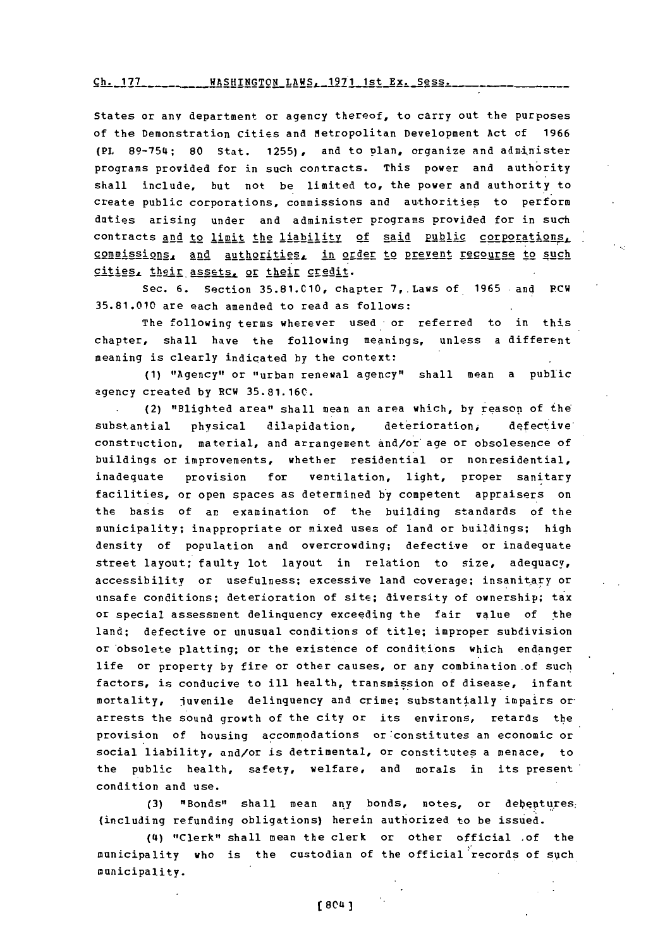WASHINGTON LAWS, **1971** 1st Ex. Se§-S. Ch **<sup>177</sup>**

States or any department or agency thereof, to carry out the purposes **of** the Demonstration Cities and Metropolitan Development Act of **1966** (PL **89-75t4; 80** Stat. **1255),** and to plan, organize and administer programs provided for in such contracts. This power and authority shall include, but not be limited to, the power and authority to create public corporations, commissions and authorities to perform duties arising under and administer programs provided for in such contracts and to limit the liability of said public corporations, commissions, and authorities, in order to prevent recourse to such cities, their assets, or their credit.

Sec. **6.** Section **35.81.C1O,** chapter 7,.Laws of **1965** and PCW **35.81.010** are each amended to read as follows:

The following terms wherever used or referred to in this chapter, shall have the following meanings, unless a different meaning is clearly indicated **by** the context:

**(1)** "Agency" or "urban renewal agency" shall mean a public agency created **by** RCW **35.81.16C.**

(2) "Blighted area"' shall mean an area which, **by** reason of the substantial physical dilapidation, deterioration, defective construction, material, and arrangement and/or age or obsolesence of buildings or improvements, whether residential or nonresidential, inadequate provision for ventilation, light, proper sanitary facilities, or open spaces as determined **by** competent appraisers on the basis of an examination of the building standards of the municipality; inappropriate or mixed uses of land or buildings; high density of population and overcrowding; defective or inadequate street layout; faulty lot layout in relation to size, adequacy, accessibility or usefulness; excessive land coverage; insanitary or unsafe conditions; deterioration of site; diversity of ownership; tax or special assessment delinquency exceeding the fair value of the land; defective or unusual conditions of title; improper subdivision or obsolete platting; or the existence of conditions which endanger life or property **by** fire or other causes, or any combination of such factors, is conducive to ill health, transmission of disease, infant mortality, juvenile delinquency and crime; substantially impairs or arrests the sound growth of the city or its environs, retards the provision of housing accommodations or constitutes an economic or social liability, and/or is detrimental, or constitutes a menace, to the public health, safety, welfare, and morals in its present condition and use.

**(3)** "Bonds" shall mean any bonds, notes, or debentures: (including refunding obligations) herein authorized to be issued.

**(14) "Clerk" shall mean the clerk or other official of the** municipality who is the custodian of the official records of such municipality.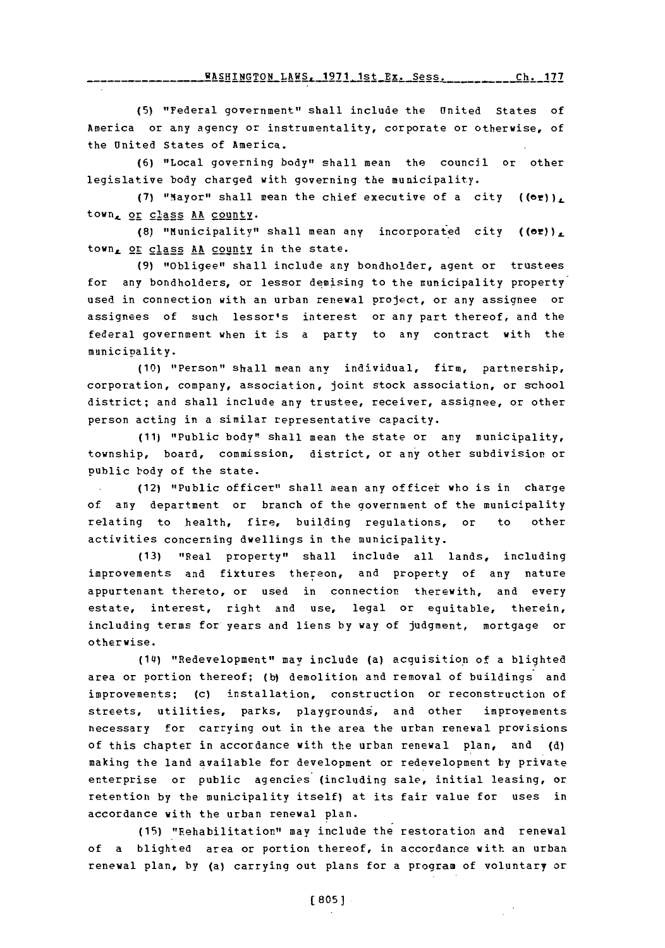**FASHINGTON\_LAWS. 1971 1st\_Ex. Sess. \_\_\_\_\_\_ ch. 177** 

**(5)** "Federal government" shall include the United states of America or any agency or instrumentality, corporate or otherwise, of the United States **of** America.

**(6)** "Local governing body" shall mean the council or other legislative body charged with governing the municipality.

(7) "Mayor" shall mean the chief executive of a city  $($  (or))<sub> $\iota$ </sub> town,\_ or class **AA** county.

**(8)** "Municipality" shall mean any incorporated city **((er))L** town<sub>e</sub> or class AA county in the state.

(9) "Obligee" shall include any bondholder, agent or trustees for any bondholders, or lessor demising to the municipality property used in connection with an urban renewal project, or any assignee or assignees of such lessor's interest or any part thereof, and the federal government when it is a party to any contract with the municipality.

**(10)** "Person" shall mean any individual, firm, partnership, corporation, company, association, joint stock association, or school district; and shall include any trustee, receiver, assignee, or other person acting in a similar representative capacity.

**(11)** "Public body"! shall mean the state or any municipality, township, board, commission, district, or any other subdivision or public body of the state.

(12) "Public officer" shall mean any officer who is in charge of any department or branch of the government of the municipality relating to health, fire, building regulations, or to other activities concerning dwellings in the municipality.

**(13)** "Real property" shall include all lands, including improvements and fixtures thereon, and property of any nature appurtenant thereto, or used in connection therewith, and every estate, interest, right and use, legal or equitable, therein, including terms for years and liens **by** way of judgment, mortgage or otherwise.

(14) "Redevelopment" may include (a) acquisition of a blighted area or portion thereof; **(b)** demolition and removal of buildings and improvements; (c) installation, construction or reconstruction of streets, utilities, parks, playgrounds, and other improvements necessary for carrying out in the area the urban renewal provisions of this chapter in accordance with the urban renewal plan, and **(d)** making the land available for development or redevelopment **by** private enterprise or public agencies (including sale, initial leasing, or retention **by** the municipality itself) at its fair value for uses in accordance with the urban renewal plan.

**(15)** "Rehabilitation" may include the restoration and renewal of a blighted area or portion thereof, in accordance with an urban renewal plan, **by** (a) carrying out plans for a program of voluntary or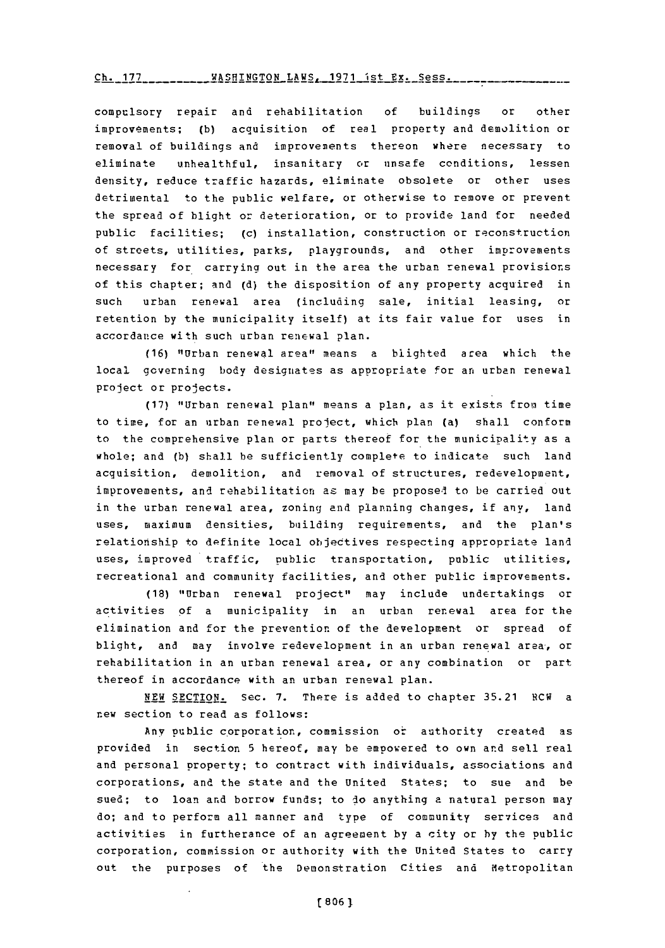## $Ch. 177$  \_\_\_\_\_\_\_\_\_\_ WASHINGTON LAWS . 1971 ist **Ex. Sess.**

compulsory repair and rehabilitation **of** buildings or other improvements; (b) acquisition of real property and demolition or removal of buildings and improvements thereon where necessary to eliminate unhealthful, insanitary or unsafe conditions, lessen density, reduce traffic hazards, eliminate obsolete or other uses detrimental to the public welfare, or otherwise to remove or prevent the spread of blight or deterioration, or to provide land for needed public facilities; (c) installation, construction or reconstruction of streets, utilities, parks, playgrounds, and other improvements necessary for carrying out in the area the urban renewal provisions of this chapter; and **(d)** the disposition of any property acquired in such urban renewal area (including sale, initial leasing, or retention **by** the municipality itself) at its fair value for uses in accordance with such urban renewal plan.

**(16)** "Urban renewal area" means a blighted area which the local governing body designates as appropriate for an urban renewal project or projects.

**(17)** "Urban renewal plan" means a plan, as it exists fron time to time, for an urban renewal project, which plan (a) shall conform to the comprehensive plan or parts thereof for the municipality as a whole; and **(b)** shall he sufficiently complete to indicate such land acquisition, demolition, and removal of structures, redevelopment, improvements, and rehabilitation as may be propose4 to be carried out in the urban renewal area, zoning and planning changes, if any, land uses, maximum densities, building requirements, and the plan's relationship to definite local objectives respecting appropriate land uses, improved traffic, public transportation, public utilities, recreational and community facilities, and other public improvements.

**(18)** "Urban renewal project" may include undertakings or activities of a municipality in an urban renewal area for the elimination and for the prevention of the development or spread of blight, and may involve redevelopment in an urban renewal area, or rehabilitation in an urban renewal area, or any combination or part thereof in accordance with an urban renewal plan.

**NEW** SECTION. Sec. **7.** There is added to chapter **35.21** RCW a new section to read as follows:

Any public corporation, commission or authority created as provided in section **5** hereof, may be empowered to own and sell real and personal property; to contract with individuals, associations and corporations, and the state and the United States; to sue and be sued; to loan and borrow funds; to do anything **a** natural person may do; and to perform all manner and type of community services and activities in furtherance of an aareement **by** a city or **by** the public corporation, commission or authority with the United States to carry out the purposes of the Demonstration Cities and Metropolitan